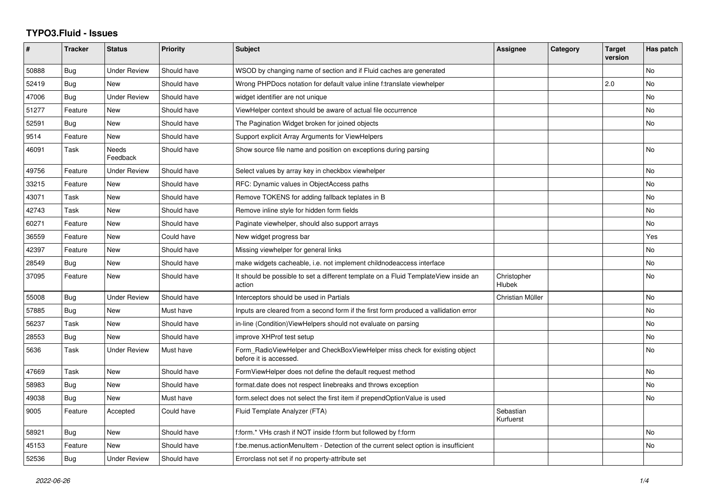## **TYPO3.Fluid - Issues**

| #     | <b>Tracker</b> | <b>Status</b>            | <b>Priority</b> | <b>Subject</b>                                                                                       | Assignee               | Category | <b>Target</b><br>version | Has patch      |
|-------|----------------|--------------------------|-----------------|------------------------------------------------------------------------------------------------------|------------------------|----------|--------------------------|----------------|
| 50888 | Bug            | <b>Under Review</b>      | Should have     | WSOD by changing name of section and if Fluid caches are generated                                   |                        |          |                          | No             |
| 52419 | Bug            | <b>New</b>               | Should have     | Wrong PHPDocs notation for default value inline f:translate viewhelper                               |                        |          | 2.0                      | No             |
| 47006 | Bug            | <b>Under Review</b>      | Should have     | widget identifier are not unique                                                                     |                        |          |                          | No             |
| 51277 | Feature        | New                      | Should have     | ViewHelper context should be aware of actual file occurrence                                         |                        |          |                          | No             |
| 52591 | Bug            | <b>New</b>               | Should have     | The Pagination Widget broken for joined objects                                                      |                        |          |                          | No             |
| 9514  | Feature        | <b>New</b>               | Should have     | Support explicit Array Arguments for ViewHelpers                                                     |                        |          |                          |                |
| 46091 | Task           | <b>Needs</b><br>Feedback | Should have     | Show source file name and position on exceptions during parsing                                      |                        |          |                          | No             |
| 49756 | Feature        | <b>Under Review</b>      | Should have     | Select values by array key in checkbox viewhelper                                                    |                        |          |                          | No             |
| 33215 | Feature        | <b>New</b>               | Should have     | RFC: Dynamic values in ObjectAccess paths                                                            |                        |          |                          | <b>No</b>      |
| 43071 | Task           | <b>New</b>               | Should have     | Remove TOKENS for adding fallback teplates in B                                                      |                        |          |                          | No             |
| 42743 | Task           | New                      | Should have     | Remove inline style for hidden form fields                                                           |                        |          |                          | No             |
| 60271 | Feature        | New                      | Should have     | Paginate viewhelper, should also support arrays                                                      |                        |          |                          | No.            |
| 36559 | Feature        | <b>New</b>               | Could have      | New widget progress bar                                                                              |                        |          |                          | Yes            |
| 42397 | Feature        | <b>New</b>               | Should have     | Missing viewhelper for general links                                                                 |                        |          |                          | N <sub>o</sub> |
| 28549 | Bug            | <b>New</b>               | Should have     | make widgets cacheable, i.e. not implement childnodeaccess interface                                 |                        |          |                          | No             |
| 37095 | Feature        | New                      | Should have     | It should be possible to set a different template on a Fluid TemplateView inside an<br>action        | Christopher<br>Hlubek  |          |                          | No.            |
| 55008 | Bug            | <b>Under Review</b>      | Should have     | Interceptors should be used in Partials                                                              | Christian Müller       |          |                          | No             |
| 57885 | Bug            | <b>New</b>               | Must have       | Inputs are cleared from a second form if the first form produced a vallidation error                 |                        |          |                          | No             |
| 56237 | Task           | New                      | Should have     | in-line (Condition) View Helpers should not evaluate on parsing                                      |                        |          |                          | No             |
| 28553 | Bug            | <b>New</b>               | Should have     | improve XHProf test setup                                                                            |                        |          |                          | No             |
| 5636  | Task           | <b>Under Review</b>      | Must have       | Form_RadioViewHelper and CheckBoxViewHelper miss check for existing object<br>before it is accessed. |                        |          |                          | No             |
| 47669 | Task           | <b>New</b>               | Should have     | FormViewHelper does not define the default request method                                            |                        |          |                          | No             |
| 58983 | Bug            | <b>New</b>               | Should have     | format.date does not respect linebreaks and throws exception                                         |                        |          |                          | No             |
| 49038 | Bug            | <b>New</b>               | Must have       | form select does not select the first item if prependOptionValue is used                             |                        |          |                          | No             |
| 9005  | Feature        | Accepted                 | Could have      | Fluid Template Analyzer (FTA)                                                                        | Sebastian<br>Kurfuerst |          |                          |                |
| 58921 | <b>Bug</b>     | <b>New</b>               | Should have     | f:form.* VHs crash if NOT inside f:form but followed by f:form                                       |                        |          |                          | <b>No</b>      |
| 45153 | Feature        | <b>New</b>               | Should have     | f:be.menus.actionMenuItem - Detection of the current select option is insufficient                   |                        |          |                          | No             |
| 52536 | Bug            | <b>Under Review</b>      | Should have     | Errorclass not set if no property-attribute set                                                      |                        |          |                          |                |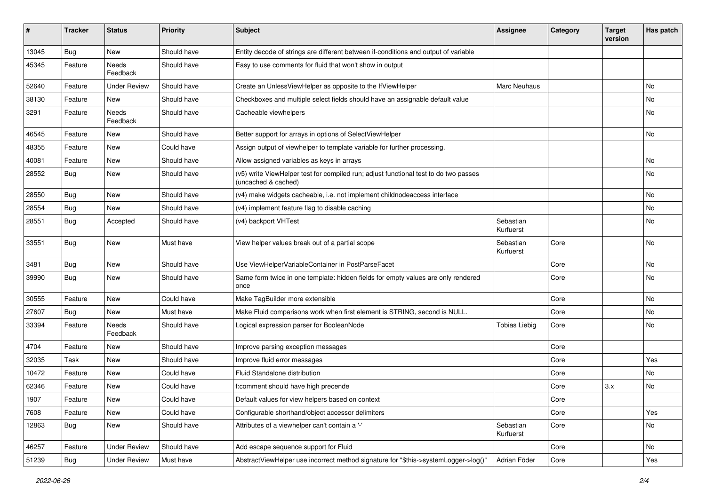| #     | <b>Tracker</b> | <b>Status</b>       | <b>Priority</b> | <b>Subject</b>                                                                                              | <b>Assignee</b>        | Category | <b>Target</b><br>version | Has patch |
|-------|----------------|---------------------|-----------------|-------------------------------------------------------------------------------------------------------------|------------------------|----------|--------------------------|-----------|
| 13045 | Bug            | New                 | Should have     | Entity decode of strings are different between if-conditions and output of variable                         |                        |          |                          |           |
| 45345 | Feature        | Needs<br>Feedback   | Should have     | Easy to use comments for fluid that won't show in output                                                    |                        |          |                          |           |
| 52640 | Feature        | <b>Under Review</b> | Should have     | Create an UnlessViewHelper as opposite to the IfViewHelper                                                  | Marc Neuhaus           |          |                          | No        |
| 38130 | Feature        | New                 | Should have     | Checkboxes and multiple select fields should have an assignable default value                               |                        |          |                          | No        |
| 3291  | Feature        | Needs<br>Feedback   | Should have     | Cacheable viewhelpers                                                                                       |                        |          |                          | No        |
| 46545 | Feature        | New                 | Should have     | Better support for arrays in options of SelectViewHelper                                                    |                        |          |                          | No        |
| 48355 | Feature        | <b>New</b>          | Could have      | Assign output of viewhelper to template variable for further processing.                                    |                        |          |                          |           |
| 40081 | Feature        | New                 | Should have     | Allow assigned variables as keys in arrays                                                                  |                        |          |                          | No        |
| 28552 | <b>Bug</b>     | New                 | Should have     | (v5) write ViewHelper test for compiled run; adjust functional test to do two passes<br>(uncached & cached) |                        |          |                          | No        |
| 28550 | Bug            | <b>New</b>          | Should have     | (v4) make widgets cacheable, i.e. not implement childnodeaccess interface                                   |                        |          |                          | No        |
| 28554 | Bug            | <b>New</b>          | Should have     | (v4) implement feature flag to disable caching                                                              |                        |          |                          | <b>No</b> |
| 28551 | Bug            | Accepted            | Should have     | (v4) backport VHTest                                                                                        | Sebastian<br>Kurfuerst |          |                          | No        |
| 33551 | Bug            | <b>New</b>          | Must have       | View helper values break out of a partial scope                                                             | Sebastian<br>Kurfuerst | Core     |                          | No        |
| 3481  | Bug            | <b>New</b>          | Should have     | Use ViewHelperVariableContainer in PostParseFacet                                                           |                        | Core     |                          | No        |
| 39990 | Bug            | <b>New</b>          | Should have     | Same form twice in one template: hidden fields for empty values are only rendered<br>once                   |                        | Core     |                          | No        |
| 30555 | Feature        | New                 | Could have      | Make TagBuilder more extensible                                                                             |                        | Core     |                          | <b>No</b> |
| 27607 | Bug            | New                 | Must have       | Make Fluid comparisons work when first element is STRING, second is NULL.                                   |                        | Core     |                          | No        |
| 33394 | Feature        | Needs<br>Feedback   | Should have     | Logical expression parser for BooleanNode                                                                   | <b>Tobias Liebig</b>   | Core     |                          | No        |
| 4704  | Feature        | New                 | Should have     | Improve parsing exception messages                                                                          |                        | Core     |                          |           |
| 32035 | Task           | New                 | Should have     | Improve fluid error messages                                                                                |                        | Core     |                          | Yes       |
| 10472 | Feature        | New                 | Could have      | Fluid Standalone distribution                                                                               |                        | Core     |                          | No        |
| 62346 | Feature        | New                 | Could have      | f:comment should have high precende                                                                         |                        | Core     | 3.x                      | No        |
| 1907  | Feature        | New                 | Could have      | Default values for view helpers based on context                                                            |                        | Core     |                          |           |
| 7608  | Feature        | New                 | Could have      | Configurable shorthand/object accessor delimiters                                                           |                        | Core     |                          | Yes       |
| 12863 | Bug            | New                 | Should have     | Attributes of a viewhelper can't contain a '-'                                                              | Sebastian<br>Kurfuerst | Core     |                          | No        |
| 46257 | Feature        | <b>Under Review</b> | Should have     | Add escape sequence support for Fluid                                                                       |                        | Core     |                          | No        |
| 51239 | <b>Bug</b>     | <b>Under Review</b> | Must have       | AbstractViewHelper use incorrect method signature for "\$this->systemLogger->log()"                         | Adrian Föder           | Core     |                          | Yes       |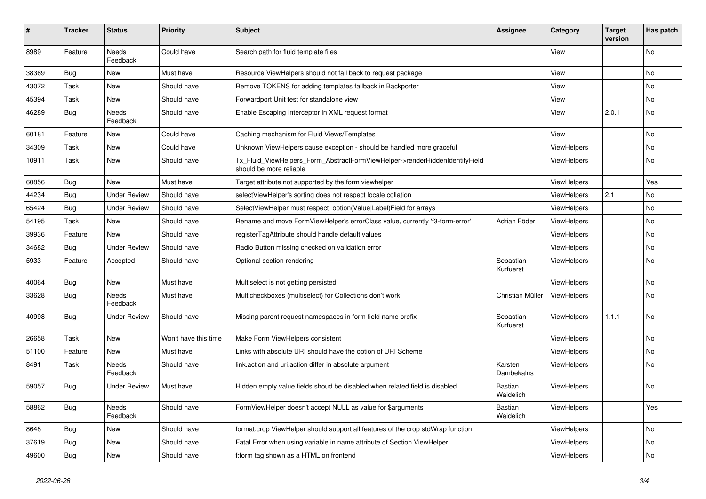| #     | <b>Tracker</b> | <b>Status</b>            | <b>Priority</b>      | <b>Subject</b>                                                                                         | Assignee               | Category           | <b>Target</b><br>version | Has patch |
|-------|----------------|--------------------------|----------------------|--------------------------------------------------------------------------------------------------------|------------------------|--------------------|--------------------------|-----------|
| 8989  | Feature        | <b>Needs</b><br>Feedback | Could have           | Search path for fluid template files                                                                   |                        | View               |                          | <b>No</b> |
| 38369 | <b>Bug</b>     | New                      | Must have            | Resource ViewHelpers should not fall back to request package                                           |                        | View               |                          | No        |
| 43072 | Task           | New                      | Should have          | Remove TOKENS for adding templates fallback in Backporter                                              |                        | View               |                          | No        |
| 45394 | Task           | <b>New</b>               | Should have          | Forwardport Unit test for standalone view                                                              |                        | View               |                          | No.       |
| 46289 | <b>Bug</b>     | <b>Needs</b><br>Feedback | Should have          | Enable Escaping Interceptor in XML request format                                                      |                        | View               | 2.0.1                    | No        |
| 60181 | Feature        | New                      | Could have           | Caching mechanism for Fluid Views/Templates                                                            |                        | View               |                          | No.       |
| 34309 | Task           | New                      | Could have           | Unknown ViewHelpers cause exception - should be handled more graceful                                  |                        | <b>ViewHelpers</b> |                          | No        |
| 10911 | Task           | New                      | Should have          | Tx_Fluid_ViewHelpers_Form_AbstractFormViewHelper->renderHiddenIdentityField<br>should be more reliable |                        | ViewHelpers        |                          | No        |
| 60856 | <b>Bug</b>     | <b>New</b>               | Must have            | Target attribute not supported by the form viewhelper                                                  |                        | <b>ViewHelpers</b> |                          | Yes       |
| 44234 | <b>Bug</b>     | <b>Under Review</b>      | Should have          | selectViewHelper's sorting does not respect locale collation                                           |                        | ViewHelpers        | 2.1                      | No        |
| 65424 | Bug            | <b>Under Review</b>      | Should have          | SelectViewHelper must respect option(Value Label)Field for arrays                                      |                        | ViewHelpers        |                          | No        |
| 54195 | Task           | <b>New</b>               | Should have          | Rename and move FormViewHelper's errorClass value, currently 'f3-form-error'                           | Adrian Föder           | <b>ViewHelpers</b> |                          | No        |
| 39936 | Feature        | <b>New</b>               | Should have          | registerTagAttribute should handle default values                                                      |                        | <b>ViewHelpers</b> |                          | No.       |
| 34682 | <b>Bug</b>     | <b>Under Review</b>      | Should have          | Radio Button missing checked on validation error                                                       |                        | <b>ViewHelpers</b> |                          | No.       |
| 5933  | Feature        | Accepted                 | Should have          | Optional section rendering                                                                             | Sebastian<br>Kurfuerst | <b>ViewHelpers</b> |                          | <b>No</b> |
| 40064 | Bug            | New                      | Must have            | Multiselect is not getting persisted                                                                   |                        | <b>ViewHelpers</b> |                          | No        |
| 33628 | <b>Bug</b>     | Needs<br>Feedback        | Must have            | Multicheckboxes (multiselect) for Collections don't work                                               | Christian Müller       | ViewHelpers        |                          | No        |
| 40998 | <b>Bug</b>     | Under Review             | Should have          | Missing parent request namespaces in form field name prefix                                            | Sebastian<br>Kurfuerst | <b>ViewHelpers</b> | 1.1.1                    | No.       |
| 26658 | Task           | <b>New</b>               | Won't have this time | Make Form ViewHelpers consistent                                                                       |                        | <b>ViewHelpers</b> |                          | No        |
| 51100 | Feature        | New                      | Must have            | Links with absolute URI should have the option of URI Scheme                                           |                        | <b>ViewHelpers</b> |                          | No.       |
| 8491  | Task           | Needs<br>Feedback        | Should have          | link.action and uri.action differ in absolute argument                                                 | Karsten<br>Dambekalns  | ViewHelpers        |                          | <b>No</b> |
| 59057 | <b>Bug</b>     | <b>Under Review</b>      | Must have            | Hidden empty value fields shoud be disabled when related field is disabled                             | Bastian<br>Waidelich   | <b>ViewHelpers</b> |                          | No        |
| 58862 | <b>Bug</b>     | <b>Needs</b><br>Feedback | Should have          | FormViewHelper doesn't accept NULL as value for \$arguments                                            | Bastian<br>Waidelich   | <b>ViewHelpers</b> |                          | Yes       |
| 8648  | <b>Bug</b>     | New                      | Should have          | format.crop ViewHelper should support all features of the crop stdWrap function                        |                        | <b>ViewHelpers</b> |                          | <b>No</b> |
| 37619 | Bug            | <b>New</b>               | Should have          | Fatal Error when using variable in name attribute of Section ViewHelper                                |                        | ViewHelpers        |                          | <b>No</b> |
| 49600 | <b>Bug</b>     | <b>New</b>               | Should have          | f:form tag shown as a HTML on frontend                                                                 |                        | ViewHelpers        |                          | No        |